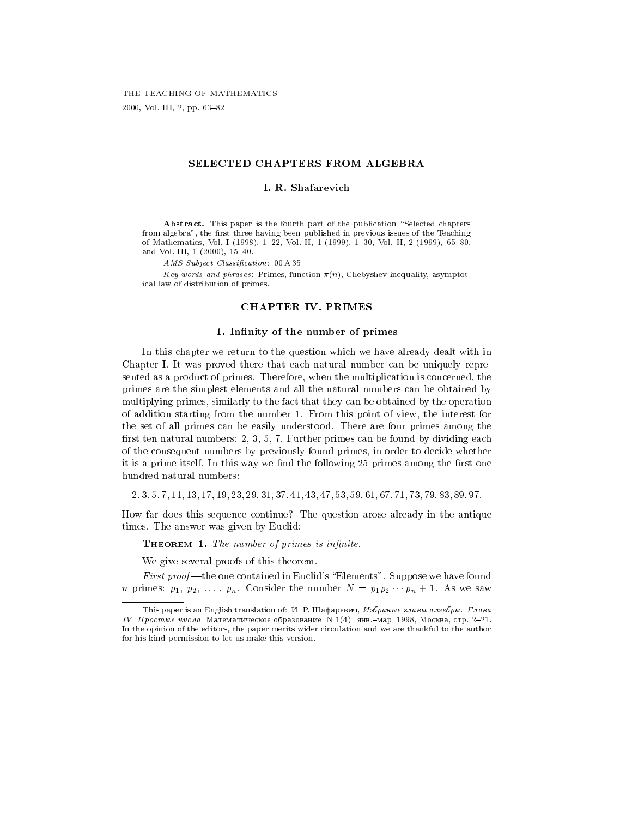2000, Vol. III, 2, pp. 63-82

# SELECTED CHAPTERS FROM ALGEBRA

### I. R. Shafarevich

Abstract. This paper is the fourth part of the publication "Selected chapters from algebra", the first three having been published in previous issues of the Teaching of Mathematics, Vol. I (1998), 1-22, Vol. II, 1 (1999), 1-30, Vol. II, 2 (1999), 65-80, and Vol. III,  $1$  (2000),  $15-40$ .

AMS Subject Classification: 00 A 35

Key words and phrases: Primes, function  $\pi(n)$ , Chebyshev inequality, asymptotical law of distribution of primes.

# CHAPTER IV. PRIMES

### 1. Infinity of the number of primes

In this chapter we return to the question which we have already dealt with in Chapter I. It was proved there that each natural number can be uniquely represented as a product of primes. Therefore, when the multiplication is concerned, the primes are the simplest elements and all the natural numbers can be obtained by multiplying primes, similarly to the fact that they can be obtained by the operation of addition starting from the number 1. From this point of view, the interest for the set of all primes can be easily understood. There are four primes among the first ten natural numbers:  $2, 3, 5, 7$ . Further primes can be found by dividing each of the consequent numbers by previously found primes, in order to decide whether it is a prime itself. In this way we find the following 25 primes among the first one hundred natural numbers:

2; 3; 5; 7; 11; 13; 17; 19; 23; 29; 31; 37; 41; 43; 47; 53; 59; 61; 67; 71; 73; 79; 83; 89; 97:

How far does this sequence continue? The question arose already in the antique times. The answer was given by Euclid:

**THEOREM 1.** The number of primes is infinite.

We give several proofs of this theorem.

First proof—the one contained in Euclid's "Elements". Suppose we have found *n* primes:  $p_1, p_2, \ldots, p_n$ . Consider the number  $N = p_1 p_2 \cdots p_n + 1$ . As we saw

This paper is an English translation of:  $H$ . P. Шафаревич, Избраные главы алгебры. Глава IV. Простые числа, Математическое образование, N 1(4), янв. -мар. 1998, Москва, стр. 2-21. In the opinion of the editors, the paper merits wider circulation and we are thankful to the author for his kind permission to let us make this version.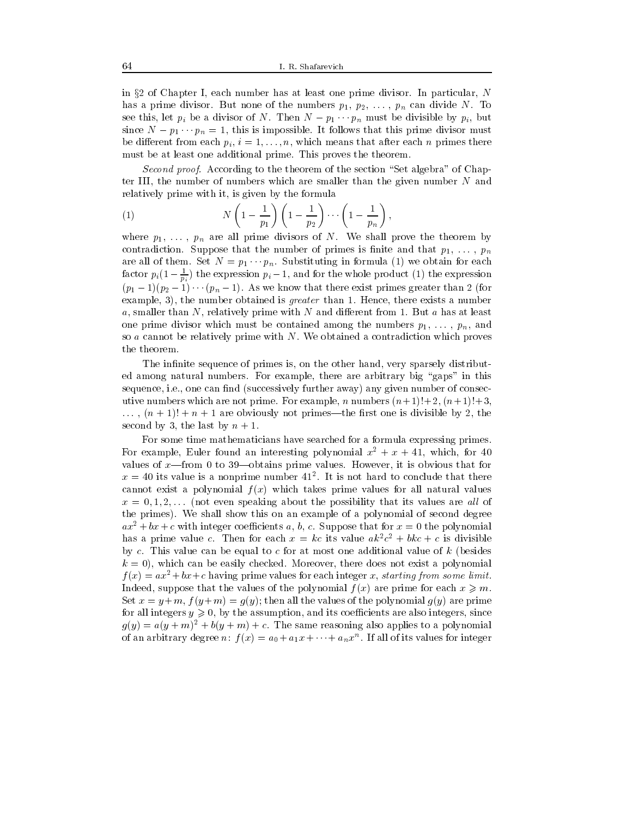in  $\S 2$  of Chapter I, each number has at least one prime divisor. In particular, N has a prime divisor. But none of the numbers  $p_1, p_2, \ldots, p_n$  can divide N. To see this, let  $p_i$  be a divisor of N. Then  $N - p_1 \cdots p_n$  must be divisible by  $p_i$ , but since  $N = p_1 \cdots p_n = 1$ , this is impossible. It follows that this prime divisor must be different from each  $p_i$ ,  $i = 1, \ldots, n$ , which means that after each n primes there must be at least one additional prime. This proves the theorem.

 $S$ econd  $p_{TOO}$ . According to the theorem of the section  $S$ et algebra of Chapter III, the number of numbers which are smaller than the given number  $N$  and relatively prime with it, is given by the formula

(1) 
$$
N\left(1-\frac{1}{p_1}\right)\left(1-\frac{1}{p_2}\right)\cdots\left(1-\frac{1}{p_n}\right),
$$

where  $p_1, \ldots, p_n$  are all prime divisors of N. We shall prove the theorem by contradiction. Suppose that the number of primes is finite and that  $p_1, \ldots, p_n$ are all of them. Set  $N = p_1 \cdots p_n$ . Substituting in formula (1) we obtain for each factor  $p_i(1-\frac{1}{p_i})$  the expression  $p_i-1$ , and for the whole product (1) the expression  $(p_1 - 1)(p_2 - 1) \cdots (p_n - 1)$ . As we know that there exist primes greater than 2 (for example, 3), the number obtained is *greater* than 1. Hence, there exists a number a, smaller than  $N$ , relatively prime with  $N$  and different from 1. But a has at least one prime divisor which must be contained among the numbers  $p_1, \ldots, p_n$ , and so  $a$  cannot be relatively prime with  $N$ . We obtained a contradiction which proves the theorem.

The infinite sequence of primes is, on the other hand, very sparsely distributed among natural numbers. For example, there are arbitrary big "gaps" in this sequence, i.e., one can find (successively further away) any given number of consecutive numbers which are not prime. For example, n numbers  $(n+1)!+2$ ,  $(n+1)!+3$ ,  $\ldots$ ,  $(n+1)! + n+1$  are obviously not primes—the first one is divisible by 2, the second by 3, the last by  $n + 1$ .

For some time mathematicians have searched for a formula expressing primes. For example, Euler found an interesting polynomial  $x^2 + x + 41$ , which, for 40 values of  $x$ —from 0 to 39—obtains prime values. However, it is obvious that for  $x = 40$  its value is a nonprime number  $41^\circ$ . It is not hard to conclude that there cannot exist a polynomial  $f(x)$  which takes prime values for all natural values  $x = 0, 1, 2, \ldots$  (not even speaking about the possibility that its values are all of the primes). We shall show this on an example of a polynomial of second degree  $ax^2 + bx + c$  with integer coefficients a, b, c. Suppose that for  $x = 0$  the polynomial has a prime value c. Then for each  $x = \kappa c$  its value  $a\kappa^+ c^- + b\kappa c + c$  is divisible by  $c$ . This value can be equal to  $c$  for at most one additional value of  $k$  (besides  $k = 0$ , which can be easily checked. Moreover, there does not exist a polynomial  $f(x) = ax^2 + bx + c$  having prime values for each integer x, starting from some limit. Indeed, suppose that the values of the polynomial  $f(x)$  are prime for each  $x \geq m$ . Set  $x = y + m$ ,  $f(y+m) = g(y)$ ; then all the values of the polynomial  $g(y)$  are prime for all integers  $y \ge 0$ , by the assumption, and its coefficients are also integers, since  $g(y) = a(y+m)^2 + b(y+m) + c$ . The same reasoning also applies to a polynomial of an arbitrary degree  $n: \, f(x) = a_0 + a_1x + \cdots + a_nx^n$  . If all of its values for integer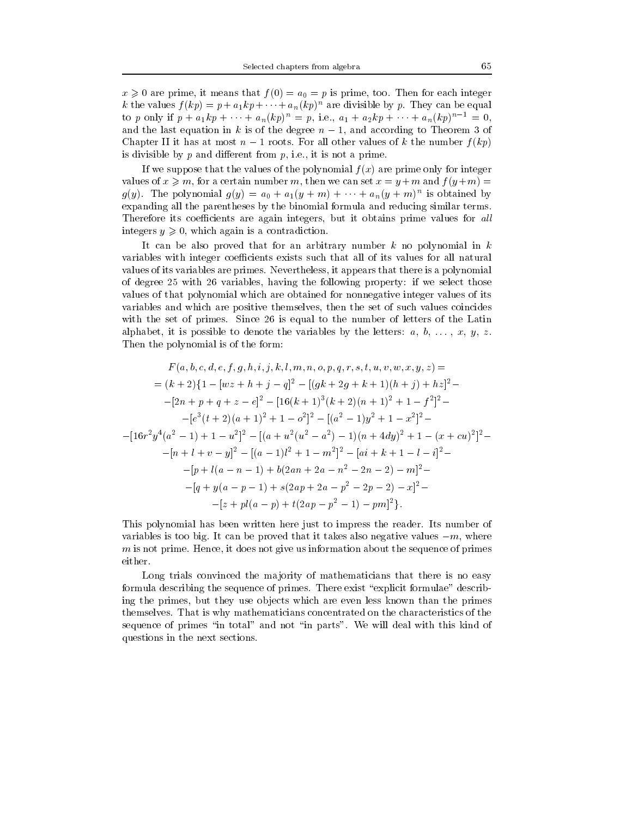$\mathcal{L}$  are prime, it means that f (0) and for each integer (0) and for each integer (0) and for each integer (0) and integer (0) and integer (0) and integer (0) and integer (0) and integer (0) and integer (0) and intege k the values  $f(kp) = p + a_1kp + \cdots + a_n(kp)^n$  are divisible by p. They can be equal to p only if  $p + a_1kp + \cdots + a_n(kp)^n = p$ , i.e.,  $a_1 + a_2kp + \cdots + a_n(kp)^{n-1} = 0$ , and the last equation in k is of the degree  $n-1$ , and according to Theorem 3 of Chapter II it has at most  $n-1$  roots. For all other values of k the number  $f(kp)$ is divisible by  $p$  and different from  $p$ , i.e., it is not a prime.

If we suppose that the values of the polynomial  $f(x)$  are prime only for integer values of  $x \geq m$ , for a certain number m, then we can set  $x = y + m$  and  $f(y + m) =$  $g(y)$ . The polynomial  $g(y) = a_0 + a_1(y + m) + \cdots + a_n(y + m)$  is obtained by expanding all the parentheses by the binomial formula and reducing similar terms. Therefore its coefficients are again integers, but it obtains prime values for all integers  $y \geq 0$ , which again is a contradiction.

It can be also proved that for an arbitrary number  $k$  no polynomial in  $k$ variables with integer coefficients exists such that all of its values for all natural values of its variables are primes. Nevertheless, it appears that there is a polynomial of degree 25 with 26 variables, having the following property: if we select those values of that polynomial which are obtained for nonnegative integer values of its variables and which are positive themselves, then the set of such values coincides with the set of primes. Since 26 is equal to the number of letters of the Latin alphabet, it is possible to denote the variables by the letters:  $a, b, \ldots, x, y, z$ . Then the polynomial is of the form:

$$
F(a, b, c, d, e, f, g, h, i, j, k, l, m, n, o, p, q, r, s, t, u, v, w, x, y, z) =
$$
\n
$$
= (k+2)\{1 - [wz + h + j - q]^2 - [(gk + 2g + k + 1)(h + j) + hz]^2 -
$$
\n
$$
-[2n + p + q + z - e]^2 - [16(k+1)^3(k+2)(n+1)^2 + 1 - f^2]^2 -
$$
\n
$$
-[e^3(t+2)(a+1)^2 + 1 - o^2]^2 - [(a^2 - 1)y^2 + 1 - x^2]^2 -
$$
\n
$$
-[16r^2y^4(a^2 - 1) + 1 - u^2]^2 - [(a + u^2(u^2 - a^2) - 1)(n + 4dy)^2 + 1 - (x + cu)^2]^2 -
$$
\n
$$
-[n + l + v - y]^2 - [(a - 1)l^2 + 1 - m^2]^2 - [ai + k + 1 - l - i]^2 -
$$
\n
$$
-[p + l(a - n - 1) + b(2an + 2a - n^2 - 2n - 2) - m]^2 -
$$
\n
$$
-[q + y(a - p - 1) + s(2ap + 2a - p^2 - 2p - 2) - x]^2 -
$$
\n
$$
-[z + pl(a - p) + t(2ap - p^2 - 1) - pm]^2].
$$

This polynomial has been written here just to impress the reader. Its number of variables is too big. It can be proved that it takes also negative values  $-m$ , where  $m$  is not prime. Hence, it does not give us information about the sequence of primes either.

Long trials convinced the majority of mathematicians that there is no easy formula describing the sequence of primes. There exist "explicit formulae" describing the primes, but they use ob jects which are even less known than the primes themselves. That is why mathematicians concentrated on the characteristics of the sequence of primes "in total" and not "in parts". We will deal with this kind of questions in the next sections.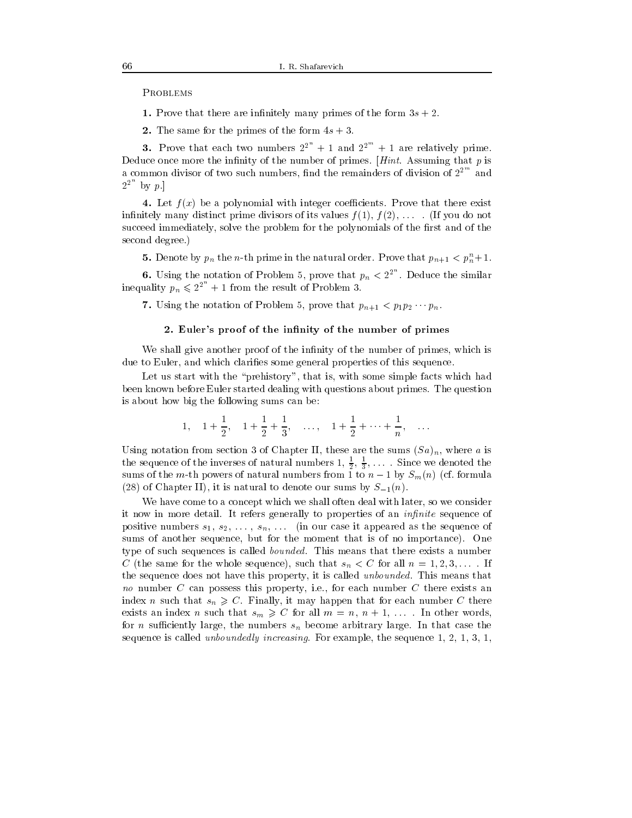**PROBLEMS** 

1. Prove that there are infinitely many primes of the form  $3s + 2$ .

2. The same for the primes of the form  $4s + 3$ .

3. Prove that each two numbers  $2^{2^n} + 1$  and  $2^{2^m} + 1$  are relatively prime. Deduce once more the infinity of the number of primes.  $[Hint.$  Assuming that p is a common divisor of two such numbers, find the remainders of division of  $2^{2^{m}}$  and  $2^{2^n}$  by p.

4. Let  $f(x)$  be a polynomial with integer coefficients. Prove that there exist infinitely many distinct prime divisors of its values  $f(1), f(2), \ldots$ . If you do not succeed immediately, solve the problem for the polynomials of the first and of the second degree.)

**5.** Denote by  $p_n$  the *n*-th prime in the natural order. Prove that  $p_{n+1} < p_n + 1$ .

**6.** Using the notation of Problem 5, prove that  $p_n < 2^{2^n}$ . Deduce the similar inequality  $p_n \leq 2^{2^n} + 1$  from the result of Problem 3.

7. Using the notation of Problem 5, prove that  $p_{n+1} < p_1 p_2 \cdots p_n$ .

## 2. Euler's proof of the infinity of the number of primes

We shall give another proof of the infinity of the number of primes, which is due to Euler, and which clarifies some general properties of this sequence.

Let us start with the "prehistory", that is, with some simple facts which had been known before Euler started dealing with questions about primes. The question is about how big the following sums can be:

1, 
$$
1 + \frac{1}{2}
$$
,  $1 + \frac{1}{2} + \frac{1}{3}$ , ...,  $1 + \frac{1}{2} + \dots + \frac{1}{n}$ , ...

Using notation from section 3 of Chapter II, these are the sums  $(Sa)_n$ , where a is the sequence of the inverses of natural numbers  $1, \frac{1}{2}, \frac{1}{3}, \ldots$  . Since we denoted the sums of the m-th powers of natural numbers from 1 to  $n-1$  by  $S_m(n)$  (cf. formula (28) of Chapter II), it is natural to denote our sums by  $S_{-1}(n)$ .

We have come to a concept which we shall often deal with later, so we consider it now in more detail. It refers generally to properties of an *infinite* sequence of positive numbers  $s_1, s_2, \ldots, s_n, \ldots$  (in our case it appeared as the sequence of sums of another sequence, but for the moment that is of no importance). One type of such sequences is called *bounded*. This means that there exists a number C (the same for the whole sequence), such that  $s_n < C$  for all  $n = 1, 2, 3, \ldots$  If the sequence does not have this property, it is called *unbounded*. This means that no monther can a can possesse this property, for the cannot month to the control there are index n such that  $s_n \geqslant C$ . Finally, it may happen that for each number C there exists an index *n* such that  $s_m \geq C$  for all  $m = n, n + 1, \ldots$ . In other words, for *n* sufficiently large, the numbers  $s_n$  become arbitrary large. In that case the sequence is called *unboundedly increasing*. For example, the sequence  $1, 2, 1, 3, 1$ ,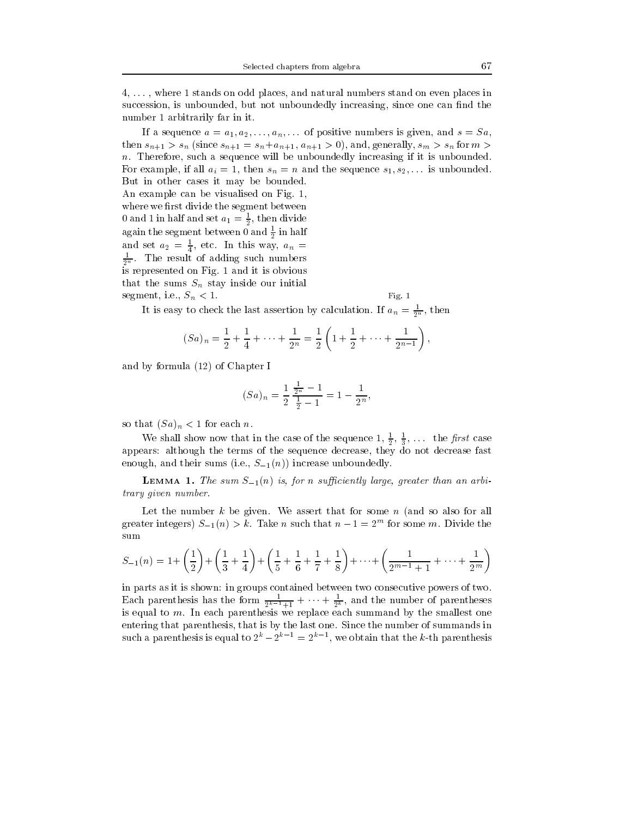4, . . . , where 1 stands on odd places, and natural numbers stand on even places in succession, is unbounded, but not unboundedly increasing, since one can find the number 1 arbitrarily far in it.

If a sequence  $a = a_1, a_2, \ldots, a_n, \ldots$  of positive numbers is given, and  $s = Sa$ , then  $s_{n+1} > s_n$  (since  $s_{n+1} = s_n + a_{n+1}$ ,  $a_{n+1} > 0$ ), and, generally,  $s_m > s_n$  for  $m >$  $n.$  Therefore, such a sequence will be unboundedly increasing if it is unbounded. For example, if all  $a_i = 1$ , then  $s_n = n$  and the sequence  $s_1, s_2, \ldots$  is unbounded. But in other cases it may be bounded. An example can be visualised on Fig. 1, where we first divide the segment between  $\sigma$  and 1 in half and set  $a_1 = \frac{1}{2}$ , then divide again the segment between 0 and  $\frac{1}{2}$  in half and set  $a_2 = \frac{1}{4}$ , etc. In this way,  $a_n =$  $\frac{1}{2^n}$ . The result of adding such numbers is represented on Fig. 1 and it is obvious that the sums  $S_n$  stay inside our initial

segment, i.e.,  $S_n < 1$ . Fig. 1

It is easy to check the last assertion by calculation. If  $a_n = \frac{1}{2^n}$ , then

$$
(Sa)_n = \frac{1}{2} + \frac{1}{4} + \dots + \frac{1}{2^n} = \frac{1}{2} \left( 1 + \frac{1}{2} + \dots + \frac{1}{2^{n-1}} \right),
$$

and by formula  $(12)$  of Chapter I

$$
(Sa)_n = \frac{1}{2} \frac{\frac{1}{2^n} - 1}{\frac{1}{2} - 1} = 1 - \frac{1}{2^n},
$$

so that  $(Sa)_n < 1$  for each n.

We shall show now that in the case of the sequence  $1, \frac{1}{5}, \frac{1}{5}, \ldots$  the *first* case 2 3 appears: although the terms of the sequence decrease, they do not decrease fast enough, and their sums (i.e.,  $S_{-1}(n)$ ) increase unboundedly.

**LEMMA 1.** The sum  $S_{-1}(n)$  is, for n sufficiently large, greater than an arbitrary given number.

Let the number  $k$  be given. We assert that for some  $n$  (and so also for all greater integers)  $3\pi/(n) > k$ . Take n such that  $n - 1 = 2^m$  for some m. Divide the sum

$$
S_{-1}(n) = 1 + \left(\frac{1}{2}\right) + \left(\frac{1}{3} + \frac{1}{4}\right) + \left(\frac{1}{5} + \frac{1}{6} + \frac{1}{7} + \frac{1}{8}\right) + \dots + \left(\frac{1}{2^{m-1} + 1} + \dots + \frac{1}{2^m}\right)
$$

in parts as it is shown: in groups contained between two consecutive powers of two. Each parentness has the form  $\frac{1}{2^{k-1}+1} + \cdots + \frac{1}{2^k}$ , and the number of parentneses is equal to  $m$ . In each parenthesis we replace each summand by the smallest one entering that parenthesis, that is by the last one. Since the number of summands in such a parenthesis is equal to  $2^{n} - 2^{n-1} = 2^{n-1}$ , we obtain that the k-th parenthesis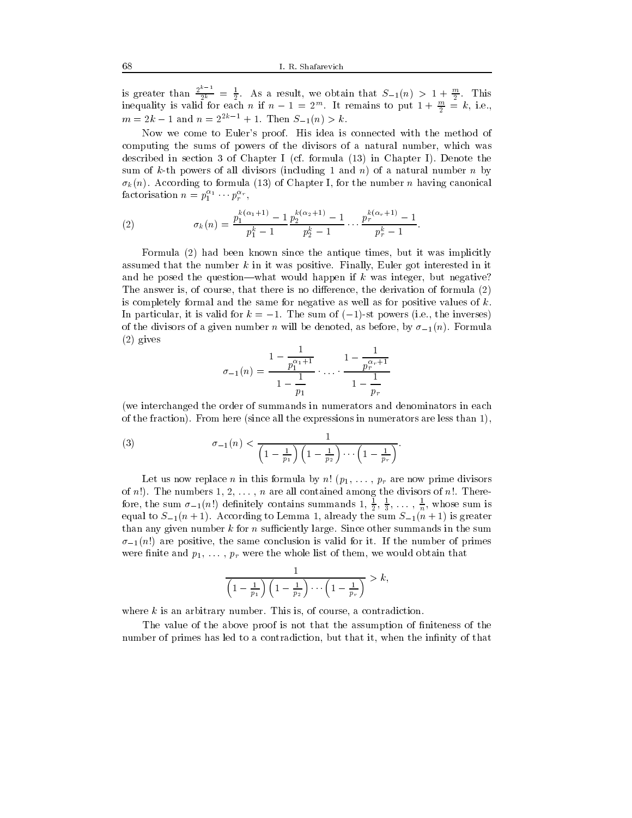is greater than  $\frac{2^{k-1}}{2^k} = \frac{1}{2}$ . As a result, we obtain that  $S_{-1}(n) > 1 + \frac{m}{2}$ . This inequality is valid for each n if  $n-1 = 2^m$ . It remains to put  $1 + \frac{\pi}{2} = k$ , i.e.,  $m = 2k - 1$  and  $n = 2^{2k-1} + 1$ . Then  $S_{-1}(n) > k$ .

Now we come to Euler's proof. His idea is connected with the method of computing the sums of powers of the divisors of a natural number, which was described in section 3 of Chapter I (cf. formula (13) in Chapter I). Denote the sum of k-th powers of all divisors (including 1 and n) of a natural number n by  $\sigma_k(n)$ . According to formula (13) of Chapter I, for the number n having canonical factorisation  $n = p_1^{\ldots} \cdots p_r^{\alpha_r}$ ,  $\cdot$ 

(2) 
$$
\sigma_k(n) = \frac{p_1^{k(\alpha_1+1)} - 1}{p_1^k - 1} \cdot \frac{p_2^{k(\alpha_2+1)} - 1}{p_2^k - 1} \cdot \cdot \cdot \frac{p_r^{k(\alpha_r+1)} - 1}{p_r^k - 1}.
$$

Formula (2) had been known since the antique times, but it was implicitly assumed that the number  $k$  in it was positive. Finally, Euler got interested in it and he posed the question—what would happen if  $k$  was integer, but negative? The answer is, of course, that there is no difference, the derivation of formula  $(2)$ is completely formal and the same for negative as well as for positive values of  $k$ . In particular, it is valid for  $k = -1$ . The sum of  $(-1)$ -st powers (i.e., the inverses) of the divisors of a given number n will be denoted, as before, by  $\sigma_{-1}(n)$ . Formula (2) gives

$$
\sigma_{-1}(n) = \frac{1 - \frac{1}{p_1^{\alpha_1 + 1}}}{1 - \frac{1}{p_1}} \cdot \dots \cdot \frac{1 - \frac{1}{p_r^{\alpha_r + 1}}}{1 - \frac{1}{p_r}}
$$

(we interchanged the order of summands in numerators and denominators in each of the fraction). From here (since all the expressions in numerators are less than 1),

(3) 
$$
\sigma_{-1}(n) < \frac{1}{\left(1 - \frac{1}{p_1}\right)\left(1 - \frac{1}{p_2}\right)\cdots\left(1 - \frac{1}{p_r}\right)}.
$$

Let us now replace n in this formula by  $n!$   $(p_1, \ldots, p_r)$  are now prime divisors of n!). The numbers  $1, 2, \ldots, n$  are all contained among the divisors of n!. Therefore, the sum  $\sigma_{-1}(n!)$  definitely contains summands 1,  $\frac{1}{2}, \frac{1}{3}, \ldots, \frac{1}{n}$ , whose sum is equal to S1(n + 1). According to Lemma 1, already the sum S1(n + 1) is greater than any given number  $k$  for n sufficiently large. Since other summands in the sum  $\sigma_{-1}(n!)$  are positive, the same conclusion is valid for it. If the number of primes were finite and  $p_1, \ldots, p_r$  were the whole list of them, we would obtain that

$$
\frac{1}{\left(1-\frac{1}{p_1}\right)\left(1-\frac{1}{p_2}\right)\cdots\left(1-\frac{1}{p_r}\right)}>k,
$$

where  $k$  is an arbitrary number. This is, of course, a contradiction.

The value of the above proof is not that the assumption of finiteness of the number of primes has led to a contradiction, but that it, when the infinity of that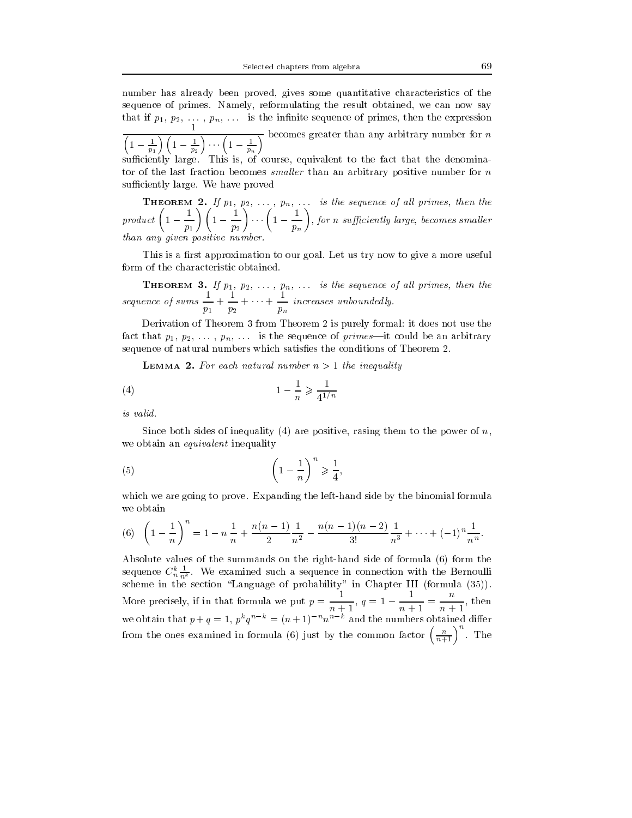number has already been proved, gives some quantitative characteristics of the sequence of primes. Namely, reformulating the result obtained, we can now say that if  $p_1, p_2, \ldots, p_n, \ldots$  is the infinite sequence of primes, then the expression  $\sqrt{\left(1-\frac{1}{p_1}\right)\left(1-\frac{1}{p_2}\right)\cdots\left(1-\frac{1}{p_n}\right)}$  becomes greater than any arbitrary number for n suciently large. This is, of course, equivalent to the fact that the denominator of the last fraction becomes *smaller* than an arbitrary positive number for  $n$ sufficiently large. We have proved

**THEOREM 2.** If  $p_1, p_2, \ldots, p_n, \ldots$  is the sequence of all primes, then the product  $\left(1-\frac{1}{\cdot}\right)\left(1-\frac{1}{\cdot}\right)$  $\left(\frac{1}{p_1}\right)\left(1-\frac{1}{p_2}\right)\cdots\left(1-\right)$  $\left(\frac{1}{p_2}\right)\cdots\left(1-\frac{1}{p_n}\right)$  $\cdots \left(1-\frac{1}{p_n}\right)$  , for  $n$  suffic , for n sufficiently large, becomes smaller  $\overline{\phantom{a}}$ than any given positive number.

This is a first approximation to our goal. Let us try now to give a more useful form of the characteristic obtained.

**THEOREM 3.** If  $p_1, p_2, \ldots, p_n, \ldots$  is the sequence of all primes, then the sequence of sums  $- +$ p1 + 1  $\mathbf{r}\cdot\mathbf{r}$  $+\cdots +\frac{1}{\sqrt{2}}$  increases pn increases unbounded ly.

Derivation of Theorem 3 from Theorem 2 is purely formal: it does not use the fact that  $p_1, p_2, \ldots, p_n, \ldots$  is the sequence of primes—it could be an arbitrary sequence of natural numbers which satisfies the conditions of Theorem 2.

**LEMMA 2.** For each natural number  $n > 1$  the inequality

$$
(4) \qquad \qquad 1 - \frac{1}{n} \geqslant \frac{1}{4^{1/n}}
$$

is valid.

Since both sides of inequality (4) are positive, rasing them to the power of  $n$ , we obtain an *equivalent* inequality

$$
(5) \qquad \left(1 - \frac{1}{n}\right)^n \geqslant \frac{1}{4},
$$

which we are going to prove. Expanding the left-hand side by the binomial formula we obtain

(6) 
$$
\left(1-\frac{1}{n}\right)^n = 1 - n\frac{1}{n} + \frac{n(n-1)}{2}\frac{1}{n^2} - \frac{n(n-1)(n-2)}{3!}\frac{1}{n^3} + \dots + (-1)^n \frac{1}{n^n}.
$$

Absolute values of the summands on the right-hand side of formula (6) form the sequence  $C_n^{\pi} \frac{1}{n^k}$ . We examined such a sequence in connection with the Bernoulli scheme in the section  $\blacksquare$  in probability in Chapter III (formula (35)). More precisely, if in that formula we put  $p = \frac{1}{\sqrt{1 - x^2}}$ ,  $q = 1$  $\frac{1}{n+1}$ ,  $q=1-\frac{1}{n+1}=\frac{1}{n+1}$ , then  $n+1$ ,  $n+1$ we obtain that  $p + q = 1$ ,  $p^*q^* = (n + 1)$  and the numbers obtained different from the ones examined in formula (6) just by the common factor  $\left(\frac{n}{n+1}\right)^n$ . The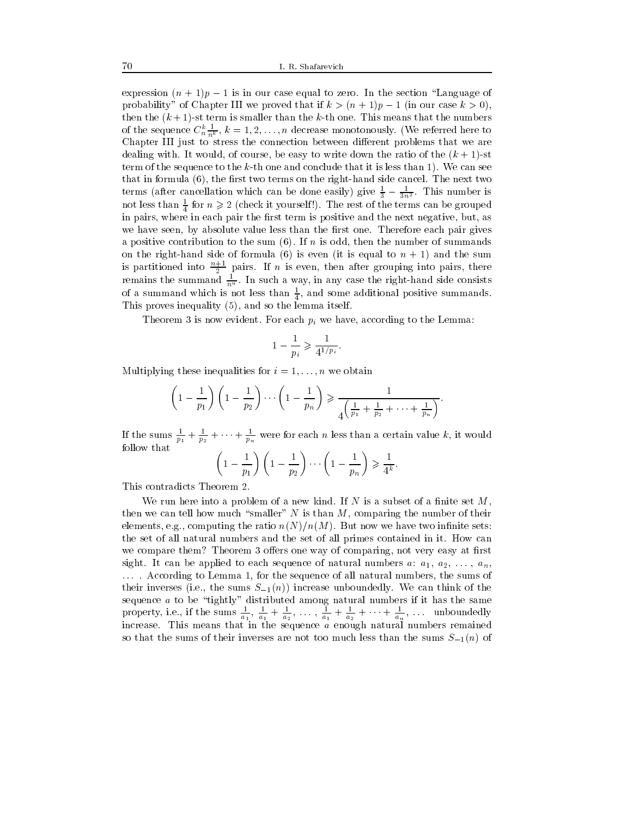expression  $(n + 1)p - 1$  is in our case equal to zero. In the section "Language of probability" of Chapter III we proved that if  $k > (n+1)p - 1$  (in our case  $k > 0$ ), then the  $(k+1)$ -st term is smaller than the k-th one. This means that the numbers of the sequence  $C_{n}^{\infty} \frac{1}{n^k}$ ,  $k = 1, 2, \ldots, n$  decrease monotonously. (We referred here to Chapter III just to stress the connection between different problems that we are dealing with. It would, of course, be easy to write down the ratio of the  $(k + 1)$ -st term of the sequence to the  $k$ -th one and conclude that it is less than 1). We can see that in formula  $(6)$ , the first two terms on the right-hand side cancel. The next two terms (after cancellation which can be done easily) give  $\frac{1}{3} - \frac{1}{3n^2}$ . This number is not less than  $\frac{1}{4}$  for  $n \geq 2$  (check it yourself!). The rest of the terms can be grouped in pairs, where in each pair the first term is positive and the next negative, but, as we have seen, by absolute value less than the first one. Therefore each pair gives a positive contribution to the sum  $(6)$ . If *n* is odd, then the number of summands on the right-hand side of formula (6) is even (it is equal to  $n + 1$ ) and the sum is partitioned into  $\frac{n+1}{2}$  pairs. If n is even, then after grouping into pairs, there remains the summand  $\frac{1}{n^n}$ . In such a way, in any case the right-hand side consists of a summand which is not less than  $\frac{1}{4}$ , and some additional positive summands. This proves inequality (5), and so the lemma itself.

Theorem 3 is now evident. For each  $p_i$  we have, according to the Lemma:

$$
1-\frac{1}{p_i}\geqslant \frac{1}{4^{1/p_i}}.
$$

Multiplying these inequalities for  $i = 1, \ldots, n$  we obtain

$$
\left(1-\frac{1}{p_1}\right)\left(1-\frac{1}{p_2}\right)\cdots\left(1-\frac{1}{p_n}\right) \geqslant \frac{1}{4\left(\frac{1}{p_1}+\frac{1}{p_2}+\cdots+\frac{1}{p_n}\right)}.
$$

If the sums  $\frac{1}{p_1} + \frac{1}{p_2} + \cdots + \frac{1}{p_n}$  were for each *n* less than a certain value *k*, it would follow that

$$
\left(1-\frac{1}{p_1}\right)\left(1-\frac{1}{p_2}\right)\cdots\left(1-\frac{1}{p_n}\right)\geqslant\frac{1}{4^k}.
$$

This contradicts Theorem 2.

We run here into a problem of a new kind. If N is a subset of a finite set  $M$ , then we can tell how much "smaller" N is than  $M$ , comparing the number of their elements, e.g., computing the ratio  $n(N)/n(M)$ . But now we have two infinite sets: the set of all natural numbers and the set of all primes contained in it. How can we compare them? Theorem 3 offers one way of comparing, not very easy at first sight. It can be applied to each sequence of natural numbers a:  $a_1, a_2, \ldots, a_n$ , ... . According to Lemma 1, for the sequence of all natural numbers, the sums of their inverses (i.e., the sums  $S_{-1}(n)$ ) increase unboundedly. We can think of the sequence  $a$  to be "tightly" distributed among natural numbers if it has the same property, i.e., if the sums  $\frac{1}{a_1}$ ,  $\frac{1}{a_1} + \frac{1}{a_2}$ , ...,  $\frac{1}{a_1} + \frac{1}{a_2} + \cdots + \frac{1}{a_n}$ , ... unboundedly increase. This means that in the sequence a enough natural numbers remained so that the sums of their inverses are not too much less than the sums  $S_{-1}(n)$  of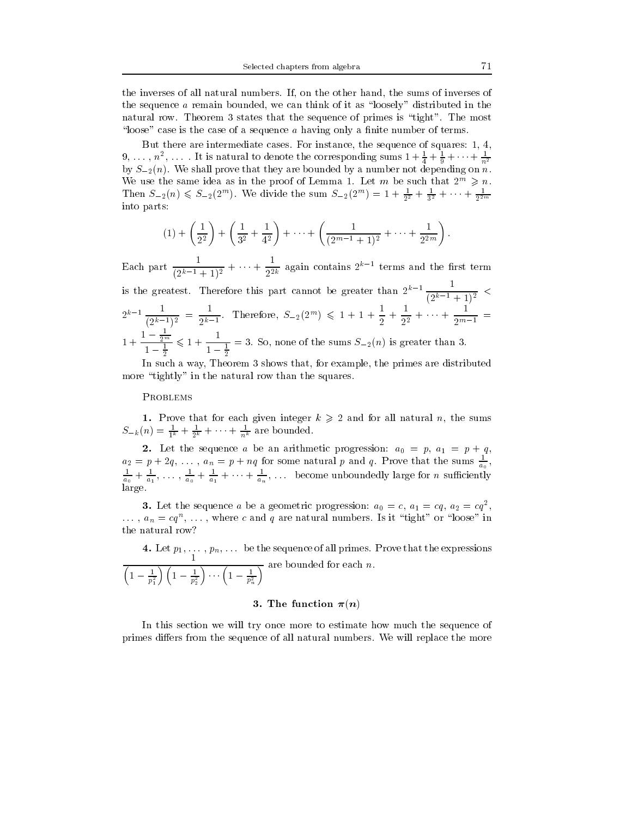the inverses of all natural numbers. If, on the other hand, the sums of inverses of the sequence  $\alpha$  remain bounded, we can think of it as "loosely" distributed in the natural row. Theorem 3 states that the sequence of primes is \tight". The most "loose" case is the case of a sequence  $a$  having only a finite number of terms.

But there are intermediate cases. For instance, the sequence of squares: 1, 4,  $9,\ldots,n^2,\ldots$  . It is natural to denote the corresponding sums  $1+\frac{1}{4}+\frac{1}{9}+\cdots+\frac{1}{n^2}$ by S2(n). We shall prove that they are bounded byanumber not depending on n. We use the same idea as in the proof of Lemma 1. Let m be such that  $2^m \geq n$ . Then  $S_{-2}(n) \leq S_{-2}(2^m)$ . We divide the sum  $S_{-2}(2^m) = 1 + \frac{1}{2^2} + \frac{1}{3^2} + \cdots + \frac{1}{2^{2m}}$ into parts:

$$
(1) + \left(\frac{1}{2^2}\right) + \left(\frac{1}{3^2} + \frac{1}{4^2}\right) + \dots + \left(\frac{1}{(2^{m-1}+1)^2} + \dots + \frac{1}{2^{2m}}\right).
$$

Each part  $\frac{1}{(2^{k-1}+1)^2} + \cdots + \frac{1}{2^{2k}}$  again contains  $2^{k-1}$  terms and the first term is the greatest. Therefore this part cannot be greater than  $2^{k-1}$   $\frac{1}{(2^{k-1}+1)^2}$  <  $2^{k-1} \frac{1}{(2^{k-1})^2} = \frac{1}{2^{k-1}}$ . Then  $\frac{1}{2^{k-1}}$ . Therefore,  $S_{-2}(2^m) \leq 1 + 1 + \frac{1}{2} + \frac{1}{2^2} + \cdots + \frac{1}{2^{m-1}} =$ - - - - - - - $1 - \frac{1}{2^m}$  , 1  $\frac{2^m}{1-\frac{1}{5}} \leqslant 1 + \frac{1}{1-\frac{1}{5}} = 3.$  $1 - \frac{1}{2}$ . So, so, none of the sums  $S = 2(1)$  is greater than 3.

In such a way, Theorem 3 shows that, for example, the primes are distributed more "tightly" in the natural row than the squares.

#### **PROBLEMS**

 $S_{-k}(n) = \frac{1}{1^k} + \frac{1}{2^k} + \cdots + \frac{1}{n^k}$  are bounded.

 $2.1$  and arithmetic and arithmetic progression: and an arithmetic progression: and an arithmetic progression: and an arithmetic progression: and an arithmetic progression: and an arithmetic progression: and an arithmetic  $a_2 = p + 2q, \ldots, a_n = p + nq$  for some natural p and q. Prove that the sums  $\frac{1}{a_0}$ ,  $\frac{1}{a_0} + \frac{1}{a_1}, \ldots, \frac{1}{a_0} + \frac{1}{a_1} + \cdots + \frac{1}{a_n}, \ldots$  become unboundedly large for *n* sumclently large.

**3.** Let the sequence a be a geometric progression:  $a_0 = c$ ,  $a_1 = cq$ ,  $a_2 = cq^2$ , , and the contract of the contract of the contract of the contract of the contract of the contract of the contract of the contract of the contract of the contract of the contract of the contract of the contract of the con  $\ldots$ ,  $a_n = cq^{\perp}$ ,  $\ldots$ , where c and q are natural numbers. Is it  $\tau$ ight or loose in the natural row?

4. Let p1, ... , pn, ... be the sequence of all primes. Prove that the expressions  $\frac{1}{\left(1-\frac{1}{p_1^2}\right)\left(1-\frac{1}{p_2^2}\right)\cdots\left(1-\frac{1}{p_n^2}\right)}$  are bounded for each *n*.

# 3. The function  $\pi(n)$

In this section we will try once more to estimate how much the sequence of primes differs from the sequence of all natural numbers. We will replace the more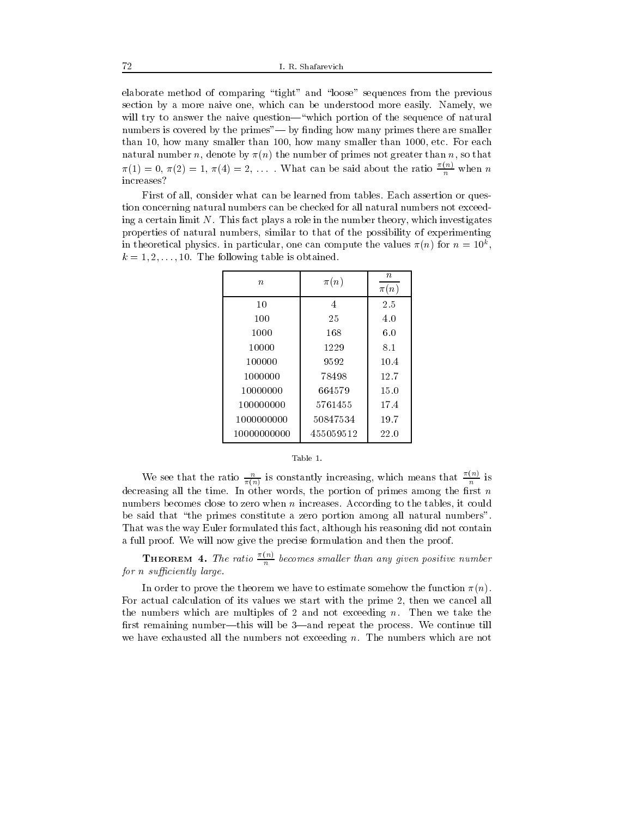elaborate method of comparing \tight" and \loose" sequences from the previous section by a more naive one, which can be understood more easily. Namely, we will try to answer the naive question—"which portion of the sequence of natural numbers is covered by the primes"—by finding how many primes there are smaller than 10, how many smaller than 100, how many smaller than 1000, etc. For each natural number n, denote by  $\pi(n)$  the number of primes not greater than n, so that  $\pi(1) = 0, \pi(2) = 1, \pi(4) = 2, \ldots$  What can be said about the ratio  $\frac{\pi i}{n}$  when n increases?

First of all, consider what can be learned from tables. Each assertion or question concerning natural numbers can be checked for all natural numbers not exceeding a certain limit  $N$ . This fact plays a role in the number theory, which investigates properties of natural numbers, similar to that of the possibility of experimenting in theoretical physics. In particular, one can compute the values  $\pi(n)$  for  $n = 10^\circ$ ,  $k = 1, 2, \ldots, 10$ . The following table is obtained.

| $\boldsymbol{n}$ | $\pi(n)$  | $\boldsymbol{n}$<br>$\pi(n)$ |  |
|------------------|-----------|------------------------------|--|
| 10               | 4         | 2.5                          |  |
| 100              | 25        | 4.0                          |  |
| 1000             | 168       | 6.0                          |  |
| 10000            | 1229      | 8.1                          |  |
| 100000           | 9592      | 10.4                         |  |
| 1000000          | 78498     | 12.7                         |  |
| 10000000         | 664579    | 15.0                         |  |
| 100000000        | 5761455   | 17.4                         |  |
| 1000000000       | 50847534  | 19.7                         |  |
| 10000000000      | 455059512 | 22.0                         |  |

#### Table 1.

We see that the ratio  $\frac{u}{\pi(n)}$  is constantly increasing, which means that  $\frac{v\cdot v}{n}$  is decreasing all the time. In other words, the portion of primes among the first  $n$ numbers becomes close to zero when n increases. According to the tables, it could be said that "the primes constitute a zero portion among all natural numbers". That was the way Euler formulated this fact, although his reasoning did not contain a full proof. We will now give the precise formulation and then the proof.

**THEOREM 4.** The ratio  $\frac{m}{n}$  becomes smaller than any given positive number for  $n$  sufficiently large.

In order to prove the theorem we have to estimate somehow the function  $\pi(n)$ . For actual calculation of its values we start with the prime 2, then we cancel all the numbers which are multiples of 2 and not exceeding  $n$ . Then we take the first remaining number—this will be  $3$ —and repeat the process. We continue till we have exhausted all the numbers not exceeding n. The numbers which are not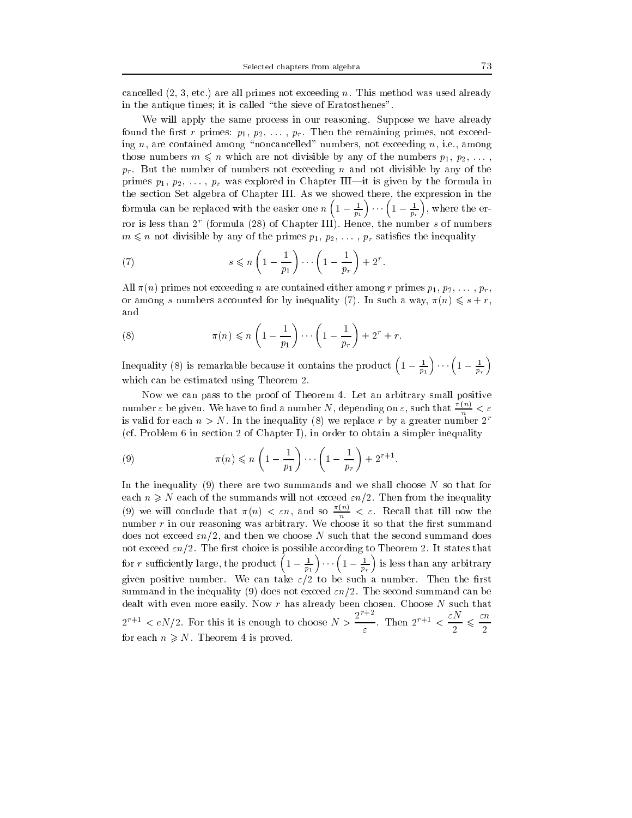cancelled  $(2, 3, \text{etc.})$  are all primes not exceeding n. This method was used already in the antique times; it is called \the sieve of Eratosthenes".

We will apply the same process in our reasoning. Suppose we have already found the first r primes:  $p_1, p_2, \ldots, p_r$ . Then the remaining primes, not exceeding  $n$ , are contained among "noncancelled" numbers, not exceeding  $n$ , i.e., among those numbers  $m \leq n$  which are not divisible by any of the numbers  $p_1, p_2, \ldots$ ,  $p_r$ . But the number of numbers not exceeding n and not divisible by any of the primes  $p_1, p_2, \ldots, p_r$  was explored in Chapter III—it is given by the formula in the section Set algebra of Chapter III. As we showed there, the expression in the formula can be replaced with the easier one n  $\left(1-\frac{1}{p_1}\right)\cdots\left(1-\frac{1}{p_r}\right)$ , where the error is less than  $2^r$  (formula (28) of Chapter III). Hence, the number s of numbers  $m \leq n$  not divisible by any of the primes  $p_1, p_2, \ldots, p_r$  satisfies the inequality

(7) 
$$
s \leqslant n \left(1 - \frac{1}{p_1}\right) \cdots \left(1 - \frac{1}{p_r}\right) + 2^r.
$$

All  $\pi(n)$  primes not exceeding n are contained either among r primes  $p_1, p_2, \ldots, p_r$ or among s numbers accounted for by inequality (7). In such a way,  $\pi(n) \leq s + r$ , and

(8) 
$$
\pi(n) \leqslant n \left(1 - \frac{1}{p_1}\right) \cdots \left(1 - \frac{1}{p_r}\right) + 2^r + r.
$$

Inequality (8) is remarkable because it contains the product  $\left(1-\frac{1}{p_1}\right)\cdots\left(1-\frac{1}{p_r}\right)$ which can be estimated using Theorem 2.

Now we can pass to the proof of Theorem 4. Let an arbitrary small positive number  $\varepsilon$  be given. We have to find a number N, depending on  $\varepsilon,$  such that  $\frac{\gamma_{n+1}}{n} < \varepsilon$ is valid for each  $n>N$ . In the inequality (8) we replace r by a greater number  $2^r$ (cf. Problem 6 in section 2 of Chapter I), in order to obtain a simpler inequality

(9) 
$$
\pi(n) \leqslant n \left(1 - \frac{1}{p_1}\right) \cdots \left(1 - \frac{1}{p_r}\right) + 2^{r+1}.
$$

In the inequality (9) there are two summands and we shall choose  $N$  so that for each  $n \geq N$  each of the summands will not exceed  $\epsilon n/2$ . Then from the inequality (9) we will conclude that  $\pi(n) < \varepsilon n$ , and so  $\frac{n(n)}{n} < \varepsilon$ . Recall that till now the number  $r$  in our reasoning was arbitrary. We choose it so that the first summand does not exceed  $\epsilon n/2$ , and then we choose N such that the second summand does not exceed  $\varepsilon n/2$ . The first choice is possible according to Theorem 2. It states that for r sufficiently large, the product  $\left(1-\frac{1}{p_1}\right)\cdots\left(1-\frac{1}{p_r}\right)$  is less than any arbitrary given positive number. We can take  $\varepsilon/2$  to be such a number. Then the first summand in the inequality (9) does not exceed  $\varepsilon n/2$ . The second summand can be dealt with even more easily. Now r has already been chosen. Choose N such that  $2^{r+1} < eN/2$ . For this it is enough to choose  $N > \frac{2^{r+2}}{\varepsilon}$ . Then  $2^{r+1} < \frac{\varepsilon N}{2} \leqslant \frac{\varepsilon n}{2}$ for each  $n \geq N$ . Theorem 4 is proved.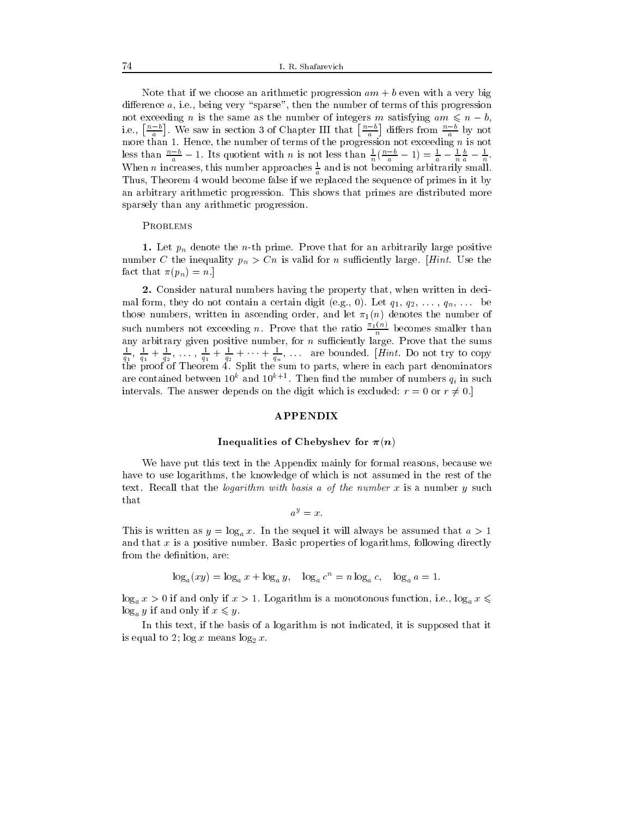Note that if we choose an arithmetic progression  $am + b$  even with a very big difference  $a$ , i.e., being very "sparse", then the number of terms of this progression not exceeding *n* is the same as the number of integers *m* satisfying  $am \leq n - b$ , i.e.,  $\left[\frac{n-b}{a}\right]$ . We saw in section 3 of Chapter III that  $\left[\frac{n-b}{a}\right]$  differs from  $\frac{n-b}{a}$  by not a a compared to a control of the company of the company of the company of the company of the company of the company of the company of the company of the company of the company of the company of the company of the company o less than  $\frac{n-b}{a} - 1$ . Its quotient with n is not less than  $\frac{1}{n}(\frac{n-b}{a} - 1) = \frac{1}{a} - \frac{1}{n} \frac{b}{a} - \frac{1}{n}$ . When n increases, this number approaches  $\frac{1}{a}$  and is not becoming arbitrarily small. Thus, Theorem 4 would become false if we replaced the sequence of primes in it by an arbitrary arithmetic progression. This shows that primes are distributed more sparsely than any arithmetic progression.

#### **PROBLEMS**

1. Let  $p_n$  denote the *n*-th prime. Prove that for an arbitrarily large positive number C the inequality  $p_n > Cn$  is valid for n sufficiently large. [Hint. Use the fact that  $\pi(p_n) = n$ .]

2. Consider natural numbers having the property that, when written in decimal form, they do not contain a certain digit (e.g., 0). Let  $q_1, q_2, \ldots, q_n, \ldots$  be those numbers, written in ascending order, and let  $\pi_1(n)$  denotes the number of such numbers not exceeding n. Prove that the ratio  $\frac{n_1(v)}{n}$  becomes smaller than  $\frac{1}{q_1}, \frac{1}{q_1} + \frac{1}{q_2}, \ldots, \frac{1}{q_1} + \frac{1}{q_2} + \cdots + \frac{1}{q_n}, \ldots$  are bounded. [Hint. Do not try to copy the proof of Theorem 4. Split the sum to parts, where in each part denominators are contained between 10° and 10° +1. Then find the number of numbers  $q_i$  in such intervals. The answer depends on the digit which is excluded:  $r = 0$  or  $r \neq 0$ .]

## **APPENDIX**

# Inequalities of Chebyshev for  $\pi(n)$

We have put this text in the Appendix mainly for formal reasons, because we have to use logarithms, the knowledge of which is not assumed in the rest of the text. Recall that the *logarithm with basis a of the number*  $x$  is a number  $y$  such that

$$
a^y=x.
$$

This is written as  $y = \log_a x$ . In the sequel it will always be assumed that  $a > 1$ and that  $x$  is a positive number. Basic properties of logarithms, following directly from the definition, are:

 $\log_a(xy) = \log_a x + \log_a y, \quad \log_a c^n = n \log_a c, \quad \log_a a = 1.$ 

 $\log_a x > 0$  if and only if  $x > 1$ . Logarithm is a monotonous function, i.e.,  $\log_a x \leq$  $\log_a y$  if and only if  $x \leq y$ .<br>In this text, if the basis of a logarithm is not indicated, it is supposed that it

is equal to 2; log  $\sim$  means log2  $\sim$  .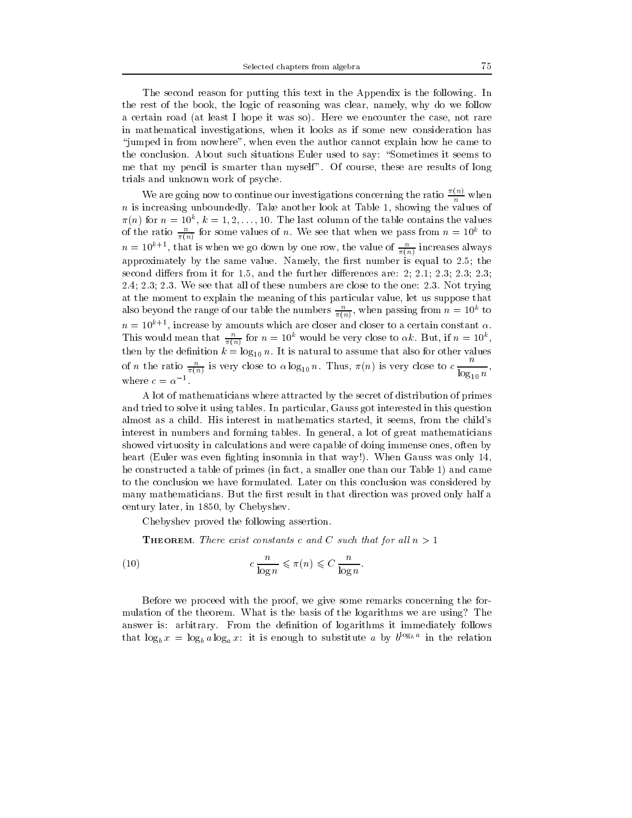The second reason for putting this text in the Appendix is the following. In the rest of the book, the logic of reasoning was clear, namely, why do we follow a certain road (at least I hope it was so). Here we encounter the case, not rare in mathematical investigations, when it looks as if some new consideration has \jumped in from nowhere", when even the author cannot explain how he came to the conclusion. About such situations Euler used to say: "Sometimes it seems to me that my pencil is smarter than myself". Of course, these are results of long trials and unknown work of psyche.

We are going now to continue our investigations concerning the ratio  $\frac{n}{n}$  when  $n$  is increasing unboundedly. Take another look at Table 1, showing the values of  $\pi(n)$  for  $n = 10^{\circ}$ ,  $\kappa = 1, 2, \ldots, 10$ . The last column of the table contains the values of the ratio  $\frac{1}{\pi(n)}$  for some values of *n*. We see that when we pass from  $n = 10^{\circ}$  to  $n = 10^{n+1}$ , that is when we go down by one row, the value of  $\frac{1}{\pi(n)}$  increases always approximately by the same value. Namely, the first number is equal to 2.5; the second differs from it for 1.5, and the further differences are: 2; 2.1; 2.3; 2.3; 2.3; 2.4; 2.3; 2.3. We see that all of these numbers are close to the one: 2.3. Not trying at the moment to explain the meaning of this particular value, let us suppose that also beyond the range of our table the numbers  $\frac{1}{\sqrt{1-\lambda}}$ , when passing from  $n=10^\circ$  to  $n = 10^{k+1}$ , increase by amounts which are closer and closer to a certain constant  $\alpha$ . This would mean that  $\frac{1}{\pi(n)}$  for  $n = 10^{\circ}$  would be very close to  $\alpha k$ . But, if  $n = 10^{\circ}$ , then by the density by the density  $\mathcal{O}(10)$  n. It is natural to assume that also for other values of other values of  $\mathcal{O}(10)$ of *n* the ratio  $\frac{n}{\pi(n)}$  is very close to  $\alpha \log_{10} n$ . Thus,  $\pi(n)$  is very close to  $c \frac{n}{\log n}$ , log10, and the contract of the contract of the contract of the contract of the contract of the contract of the contract of the contract of the contract of the contract of the contract of the contract of the contract of the con where  $c = \alpha^{-1}$ .

A lot of mathematicians where attracted by the secret of distribution of primes and tried to solve it using tables. In particular, Gauss got interested in this question almost as a child. His interest in mathematics started, it seems, from the child's interest in numbers and forming tables. In general, a lot of great mathematicians showed virtuosity in calculations and were capable of doing immense ones, often by heart (Euler was even fighting insomnia in that way!). When Gauss was only 14, he constructed a table of primes (in fact, a smaller one than our Table 1) and came to the conclusion we have formulated. Later on this conclusion was considered by many mathematicians. But the first result in that direction was proved only half a century later, in 1850, by Chebyshev.

Chebyshev proved the following assertion.

**THEOREM.** There exist constants c and C such that for all  $n > 1$ 

(10) 
$$
c \frac{n}{\log n} \leqslant \pi(n) \leqslant C \frac{n}{\log n}.
$$

Before we proceed with the proof, we give some remarks concerning the for mulation of the theorem. What is the basis of the logarithms we are using? The answer is: arbitrary. From the definition of logarithms it immediately follows that  $\log_b x = \log_b a \log_a x$ : it is enough to substitute a by  $b^{1-\epsilon_b}$  in the relation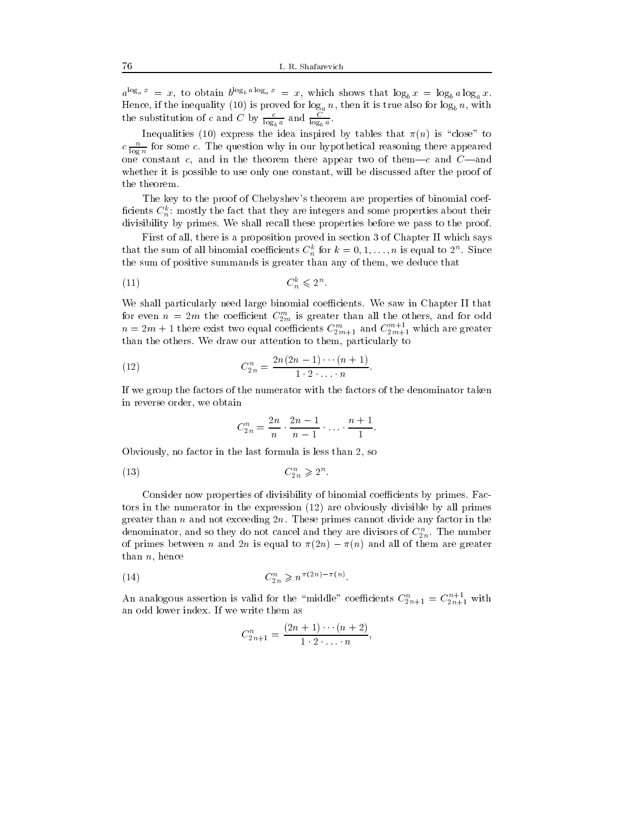$a^{x,s_a x} = x$ , to obtain  $b^{x,s_b x} s^{x,s_a x} = x$ , which shows that  $\log_b x = \log_b a \log_a x$ . Hence, if the inequality (10) is proved for  $\log_a n$ , then it is true also for  $\log_b n$ , with the substitution of c and C by  $\frac{1}{\log_b a}$  and  $\frac{1}{\log_b a}$ .

Inequalities (10) express the idea inspired by tables that  $\pi(n)$  is "close" to  $c \frac{1}{\log n}$  for some c. The question why in our hypothetical reasoning there appeared  $\sim$ one constant c, and in the theorem there appear two of them|c and C|and whether it is possible to use only one constant, will be discussed after the proof of the theorem.

The key to the proof of Chebyshev's theorem are properties of binomial coef ficients  $C_n^k$ : mostly the fact that they are integers and some properties about their divisibility by primes. We shall recall these properties before we pass to the proof.

First of all, there is a proposition proved in section 3 of Chapter II which says that the sum of all binomial coefficients  $C_n^*$  for  $\kappa = 0, 1, \ldots, n$  is equal to 2n. Since the sum of positive summands is greater than any of them, we deduce that

$$
(11) \tC_n^k \leqslant 2^n.
$$

We shall particularly need large binomial coefficients. We saw in Chapter II that for even  $n = 2m$  the coefficient  $C_{2m}$  is greater than all the others, and for odd  $n=2m+1$  there exist two equal coefficients  $C_{2m+1}^{m}$  and  $C_{2m+1}$  which are greater than the others. We draw our attention to them, particularly to

(12) 
$$
C_{2n}^{n} = \frac{2n(2n-1)\cdots(n+1)}{1\cdot 2\cdot \ldots \cdot n}.
$$

If we group the factors of the numerator with the factors of the denominator taken in reverse order, we obtain

$$
C_{2n}^n=\frac{2n}{n}\cdot\frac{2n-1}{n-1}\cdot\ldots\cdot\frac{n+1}{1}.
$$

Obviously, no factor in the last formula is less than 2, so

$$
(13) \tC_{2n}^n \geqslant 2^n.
$$

Consider now properties of divisibility of binomial coefficients by primes. Factors in the numerator in the expression (12) are obviously divisible by all primes greater than n and not exceeding  $2n$ . These primes cannot divide any factor in the denominator, and so they do not cancel and they are divisors of  $\mathbb{C}_{2n}$ . The number of primes between n and 2n is equal to  $\pi(2n) - \pi(n)$  and all of them are greater than  $n$ , hence

(14) 
$$
C_{2n}^n \geq n^{\pi(2n) - \pi(n)}
$$
.

An analogous assertion is valid for the "middle" coefficients  $C_{2n+1}^n = C_{2n+1}$  with an odd lower index. If we write them as

$$
C_{2n+1}^n = \frac{(2n+1)\cdots(n+2)}{1\cdot 2\cdot\ldots\cdot n},
$$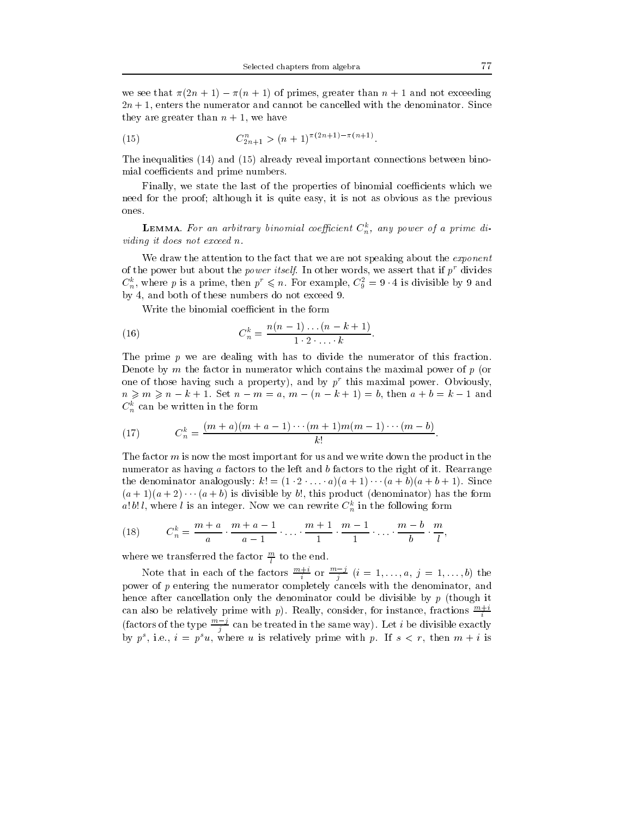we see that  $\pi(2n + 1) - \pi(n + 1)$  of primes, greater than  $n + 1$  and not exceeding  $2n+1$ , enters the numerator and cannot be cancelled with the denominator. Since they are greater than  $n + 1$ , we have

(15) 
$$
C_{2n+1}^n > (n+1)^{\pi(2n+1)-\pi(n+1)}.
$$

The inequalities (14) and (15) already reveal important connections between binomial coefficients and prime numbers.

Finally, we state the last of the properties of binomial coefficients which we need for the proof; although it is quite easy, it is not as obvious as the previous ones.

**LEMMA**. For an arbitrary binomial coefficient  $C_n^k$ , any power of a prime dividing it does not exceed n.

We draw the attention to the fact that we are not speaking about the *exponent* of the power but about the *power itself*. In other words, we assert that if  $p^r$  divides  $C_n^{\dagger}$ , where p is a prime, then  $p \leq n$ . For example,  $C_{\overline{9}} = 9 \cdot 4$  is divisible by 9 and by 4, and both of these numbers do not exceed 9.

Write the binomial coefficient in the form

(16) 
$$
C_n^k = \frac{n(n-1)...(n-k+1)}{1 \cdot 2 \cdot ... \cdot k}.
$$

The prime  $p$  we are dealing with has to divide the numerator of this fraction. Denote by  $m$  the factor in numerator which contains the maximal power of  $p$  (or one of those having such a property), and by  $p^r$  this maximal power. Obviously,  $n \geq 0, n \geq n - k + 1$ . Set  $n - m = a, m - (n - k + 1) = b$ , then  $a + b = k - 1$  and  $C_n^k$  can be written in the form

(17) 
$$
C_n^k = \frac{(m+a)(m+a-1)\cdots(m+1)m(m-1)\cdots(m-b)}{k!}.
$$

The factor m is now the most important for us and we write down the product in the numerator as having a factors to the left and b factors to the right of it. Rearrange the denominator analogously:  $k! = (1 \cdot 2 \cdot ... \cdot a)(a+1) \cdots (a+b)(a+b+1)$ . Since  $(a + 1)(a + 2) \cdots (a + b)$  is divisible by b!, this product (denominator) has the form a!b!l, where l is an integer. Now we can rewrite  $C_n^k$  in the following form

(18) 
$$
C_n^k = \frac{m+a}{a} \cdot \frac{m+a-1}{a-1} \cdot \ldots \cdot \frac{m+1}{1} \cdot \frac{m-1}{1} \cdot \ldots \cdot \frac{m-b}{b} \cdot \frac{m}{l},
$$

where we transferred the factor  $\frac{m}{l}$  to the end.

Note that in each of the factors  $\frac{n+1}{i}$  or  $\frac{n+1}{i}$   $(i = 1, \ldots, a, j = 1, \ldots, b)$  the power of  $p$  entering the numerator completely cancels with the denominator, and hence after cancellation only the denominator could be divisible by p (though it can also be relatively prime with p). Really, consider, for instance, fractions  $\frac{m+i}{i}$ (factors of the type  $\frac{m-j}{j}$  can be treated in the same way). Let i be divisible exactly by  $p^r$ , i.e.,  $i \equiv p^r u$ , where u is relatively prime with  $p$ . If  $s \leq r$ , then  $m + i$  is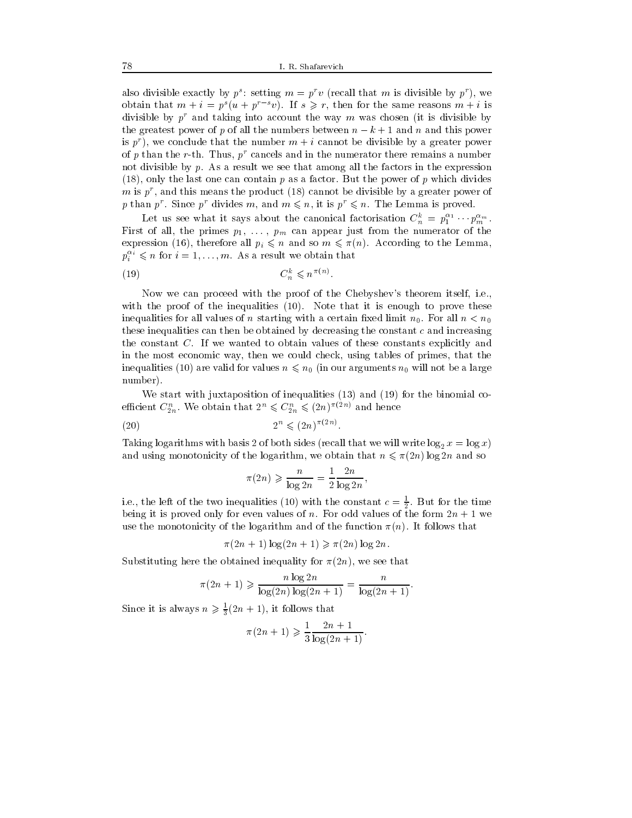also divisible exactly by  $p^*$ : setting  $m = p^*v$  (recall that m is divisible by  $p^*$  ), we obtain that  $m + i = p<sup>s</sup>(u + p<sup>r-s</sup>v)$ . If  $s \ge r$ , then for the same reasons  $m + i$  is divisible by  $p^r$  and taking into account the way m was chosen (it is divisible by the greatest power of p of all the numbers between  $n - k + 1$  and n and this power is  $p^r$ , we conclude that the number  $m + i$  cannot be divisible by a greater power of p than the r-th. Thus,  $p^r$  cancels and in the numerator there remains a number not divisible by  $p$ . As a result we see that among all the factors in the expression  $(18)$ , only the last one can contain p as a factor. But the power of p which divides  $m$  is  $p$ , and this means the product (18) cannot be divisible by a greater power of p than p  $p$  since p divides m, and  $m \leq n$ , it is  $p \leq n$ . The Lemma is proved.

Let us see what it says about the canonical factorisation  $C_n^u = p_1^u + p_m^{u_m}$ . First of all, the primes parameters  $p_1$  ,  $p_2$  ,  $p_3$  ,  $p_4$  ,  $p_5$  ,  $p_6$  ,  $p_7$  ,  $p_8$  ,  $p_9$  ,  $p_9$  ,  $p_9$  ,  $p_9$  ,  $p_9$  ,  $p_9$  ,  $p_9$  ,  $p_9$  ,  $p_9$  ,  $p_9$  ,  $p_9$  ,  $p_9$  ,  $p_9$  ,  $p_9$  ,  $p_9$  , expression (16), therefore all  $p_i \leq n$  and so  $m \leq \pi(n)$ . According to the Lemma,  $p_i^{**} \leqslant n$  for  $i=1,\ldots,m.$  As a result we obtain that

$$
(19) \tC_n^k \leqslant n^{\pi(n)}.
$$

Now we can proceed with the proof of the Chebyshev's theorem itself, i.e., with the proof of the inequalities (10). Note that it is enough to prove these inequalities for all values of n starting with a certain fixed limit  $n_0$ . For all  $n < n_0$ these inequalities can then be obtained by decreasing the constant  $c$  and increasing the constant C. If we wanted to obtain values of these constants explicitly and in the most economic way, then we could check, using tables of primes, that the in a form in our areas values not values not  $\sim$  in our arguments n  $\sim$   $0$  will not be a large a large and  $\sim$ number).

We start with juxtaposition of inequalities (13) and (19) for the binomial coemcient  $C_{2n}$ , we obtain that  $2^n \leqslant C_{2n} \leqslant (2n)^{n+1}$  and hence

$$
(20) \t\t\t 2^n \leqslant (2n)^{\pi(2n)}.
$$

Taking logarithms with basis  $\mathcal{O}_A$  of both sides (recall that we will write logarithms  $\mathcal{O}_A$  and  $\mathcal{O}_A$ and using monotonicity of the logarithm, we obtain that  $n \leq \pi(2n) \log 2n$  and so

$$
\pi(2n) \geqslant \frac{n}{\log 2n} = \frac{1}{2} \frac{2n}{\log 2n},
$$

i.e., the left of the two inequalities (10) with the constant  $c = \frac{1}{2}$ . But for the time 22 Januari - Januari - Januari - Januari - Januari - Januari - Januari - Januari - Januari - Januari - Januari being it is proved only for even values of n. For odd values of the form 2n +1we use the monotonicity of the logarithm and of the function  $\pi(n)$ . It follows that

$$
\pi(2n+1)\log(2n+1) \ge \pi(2n)\log 2n.
$$

Substituting here the obtained inequality for  $\pi(2n)$ , we see that

$$
\pi(2n+1) \ge \frac{n \log 2n}{\log(2n) \log(2n+1)} = \frac{n}{\log(2n+1)}.
$$

Since it is always  $n \geq \frac{1}{2}(2n + 1)$ , it follows that

$$
\pi(2n+1) \geq \frac{1}{3} \frac{2n+1}{\log(2n+1)}.
$$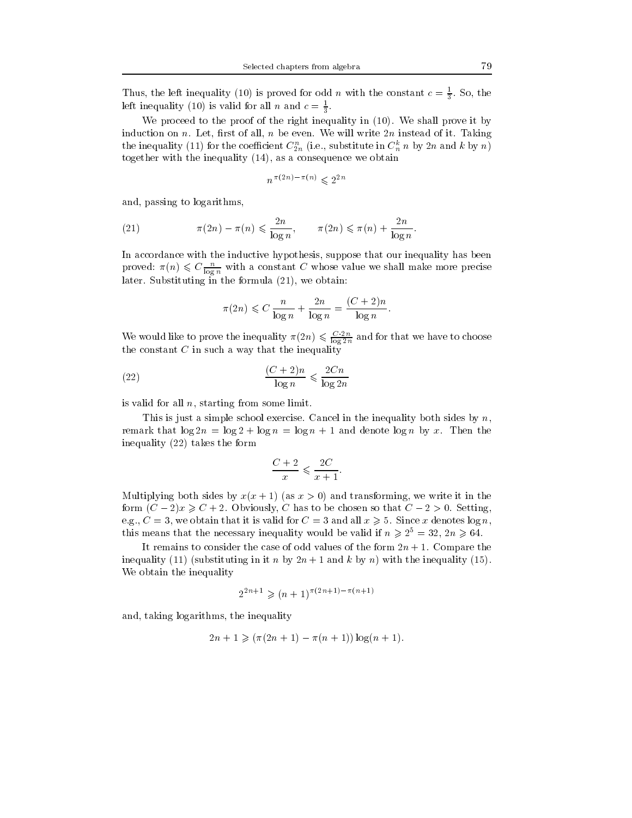Thus, the left inequality (10) is proved for odd n with the constant  $c = \frac{1}{3}$ . So, the left inequality (10) is valid for all n and  $c = \frac{1}{2}$ .

 $\tilde{ }$ 

We proceed to the proof of the right inequality in  $(10)$ . We shall prove it by induction on n. Let, first of all, n be even. We will write  $2n$  instead of it. Taking the inequality (11) for the coefficient  $C_{2n}^{\perp}$  (i.e., substitute in  $C_n^{\perp}$  n by 2n and k by  $n$ ) together with the inequality (14), as a consequence we obtain

$$
n^{\pi(2n) - \pi(n)} \leqslant 2^{2n}
$$

and, passing to logarithms,

(21) 
$$
\pi(2n) - \pi(n) \leqslant \frac{2n}{\log n}, \qquad \pi(2n) \leqslant \pi(n) + \frac{2n}{\log n}.
$$

proved:  $\pi(n) \leqslant C \frac{n}{\log n}$  with a constant C whose value we shall make more precise later. Substituting in the formula (21), we obtain:

$$
\pi(2n) \leqslant C \frac{n}{\log n} + \frac{2n}{\log n} = \frac{(C+2)n}{\log n}.
$$

We would like to prove the inequality  $\pi(2n) \leqslant \frac{1}{\log(2n)}$  and for that we have to choose the constant  $C$  in such a way that the inequality

(22) 
$$
\frac{(C+2)n}{\log n} \leqslant \frac{2Cn}{\log 2n}
$$

is valid for all  $n$ , starting from some limit.

This is just a simple school exercise. Cancel in the inequality both sides by  $n$ , remark that  $\log 2n = \log 2 + \log n = \log n + 1$  and denote  $\log n$  by x. Then the inequality (22) takes the form

$$
\frac{C+2}{x} \leqslant \frac{2C}{x+1}.
$$

Multiplying both sides by  $x(x + 1)$  (as  $x > 0$ ) and transforming, we write it in the form  $(C-2)x \geqslant C+2$ . Obviously, C has to be chosen so that  $C-2>0$ . Setting, e.g.,  $C = 3$ , we obtain that it is valid for  $C = 3$  and all  $x \ge 5$ . Since x denotes  $\log n$ , this means that the necessary inequality would be valid if  $n \geq 2^5 = 32, 2n \geq 64$ .

It remains to consider the case of odd values of the form  $2n + 1$ . Compare the inequality (11) (substituting in it n by  $2n + 1$  and k by n) with the inequality (15). We obtain the inequality

$$
2^{2n+1} \geq (n+1)^{\pi(2n+1)-\pi(n+1)}
$$

and, taking logarithms, the inequality

$$
2n + 1 \ge (\pi(2n + 1) - \pi(n + 1)) \log(n + 1).
$$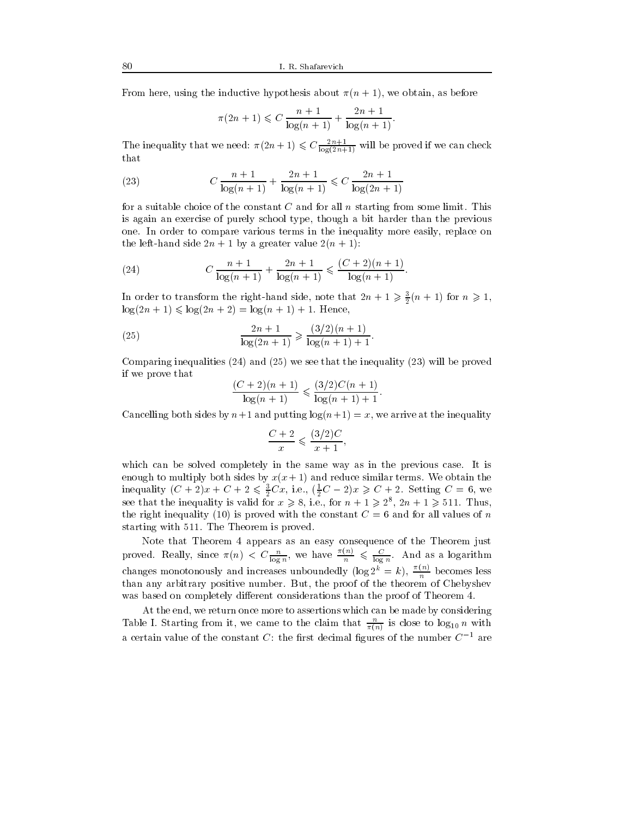From here, using the inductive hypothesis about  $\pi(n + 1)$ , we obtain, as before

$$
\pi(2n+1) \leqslant C \frac{n+1}{\log(n+1)} + \frac{2n+1}{\log(n+1)}.
$$

The inequality that we need:  $\pi(2n+1) \leqslant C \frac{2n+1}{\log(2n+1)}$  will be proved if we can check that

(23) 
$$
C \frac{n+1}{\log(n+1)} + \frac{2n+1}{\log(n+1)} \leqslant C \frac{2n+1}{\log(2n+1)}
$$

for a suitable choice of the constant C and for all n starting from some limit. This is again an exercise of purely school type, though a bit harder than the previous one. In order to compare various terms in the inequality more easily, replace on the left-hand side  $2n + 1$  by a greater value  $2(n + 1)$ :

(24) 
$$
C \frac{n+1}{\log(n+1)} + \frac{2n+1}{\log(n+1)} \leqslant \frac{(C+2)(n+1)}{\log(n+1)}.
$$

In order to transform the right-hand side, note that  $2n + 1 \geqslant \frac{1}{2}(n + 1)$  for  $n \geqslant 1$ ,  $\log(2n + 1) \leq \log(2n + 2) = \log(n + 1) + 1$ . Hence,

(25) 
$$
\frac{2n+1}{\log(2n+1)} \geqslant \frac{(3/2)(n+1)}{\log(n+1)+1}.
$$

Comparing inequalities (24) and (25) we see that the inequality (23) will be proved if we prove that

$$
\frac{(C+2)(n+1)}{\log(n+1)} \leq \frac{(3/2)C(n+1)}{\log(n+1)+1}.
$$

Cancelling both sides by  $n+1$  and putting  $log(n+1) = x$ , we arrive at the inequality

$$
\frac{C+2}{x} \leqslant \frac{(3/2)C}{x+1},
$$

which can be solved completely in the same way as in the previous case. It is enough to multiply both sides by  $x(x+1)$  and reduce similar terms. We obtain the inequality  $(C + 2)x + C + 2 \le \frac{1}{2}Cx$ , i.e.,  $(\frac{1}{2}C - 2)x \ge C + 2$ . Setting  $C = 0$ , we see that the inequality is valid for  $x \ge 8$ , i.e., for  $n + 1 \ge 2^8$ ,  $2n + 1 \ge 511$ . Thus, the right inequality (10) is proved with the constant  $C = 6$  and for all values of n starting with 511. The Theorem is proved.

Note that Theorem 4 appears as an easy consequence of the Theorem just proved. Really, since  $\pi(n) < C \frac{n}{\log n}$ , we have  $\frac{n}{\log n} \leq \frac{C}{\log n}$ . And as a logarithm changes monotonously and increases unboundedly (log  $2^k = k$ ),  $\frac{N(k)}{n}$  becomes less than any arbitrary positive number. But, the proof of the theorem of Chebyshev was based on completely different considerations than the proof of Theorem 4.

At the end, we return once more to assertions which can be made by considering Table 1. Starting from it, we came to the claim that  $\frac{1}{\pi(n)}$  is close to  $\log_{10} n$  with a certain value of the constant C: the first decimal figures of the number  $C^{-1}$  are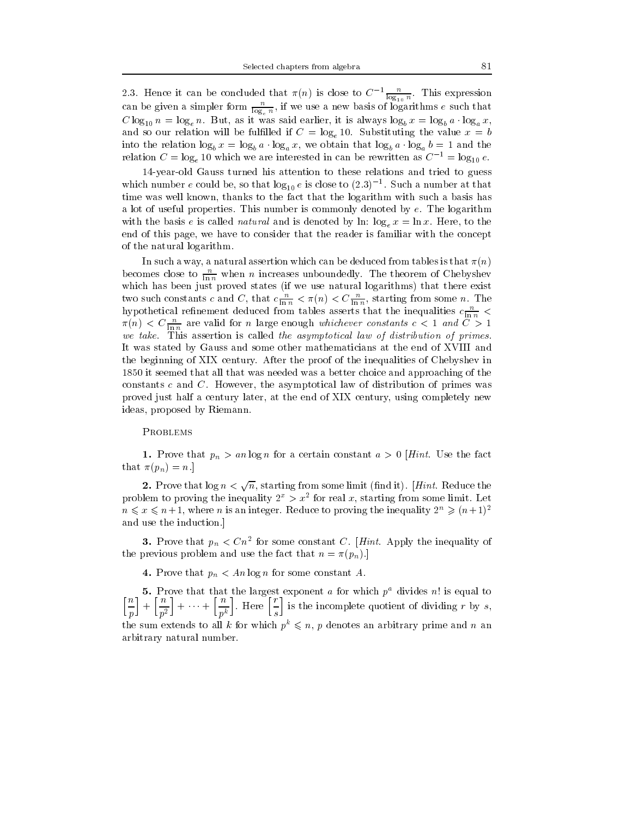2.3. Hence it can be concluded that  $\pi(n)$  is close to  $C^{-1}$   $\frac{1}{\log_{10} n}$ . This expression can be given a simpler form  $\frac{1}{\log_e n},$  if we use a new basis of logarithms e such that C log<sub>10</sub>  $n = \log_e n$ . But, as it was said earlier, it is always log<sub>b</sub>  $x = \log_b a \cdot \log_a x$ , and so our relation will be fulfilled if  $C = \log_e 10$ . Substituting the value  $x = b$ into the relation  $\log_b x = \log_b a \cdot \log_a x$ , we obtain that  $\log_b a \cdot \log_a b = 1$  and the relation  $C = \log_e 10$  which we are interested in can be rewritten as  $C^{-1} = \log_{10} e$ .

14-year-old Gauss turned his attention to these relations and tried to guess which number e could be, so that  $\log_{10} e$  is close to (2.3)  $\sim$  . Such a number at that time was well known, thanks to the fact that the logarithm with such a basis has a lot of useful properties. This number is commonly denoted by e. The logarithm with the basis e is called *natural* and is denoted by ln:  $\log_e x = \ln x$ . Here, to the end of this page, we have to consider that the reader is familiar with the concept of the natural logarithm.

In such a way, a natural assertion which can be deduced from tables is that  $\pi(n)$ becomes close to  $\frac{\overline{\mathsf{h}}_n}{\ln n}$  when *n* increases unboundedly. The theorem of Chebyshev which has been just proved states (if we use natural logarithms) that there exists natural logarithms (if we use two such constants c and C, that  $c \frac{1}{\ln n} < \pi(n) < C \frac{1}{\ln n}$ , starting from some n. The hypothetical rennement deduced from tables asserts that the inequalities  $c \frac{n}{\ln n} < \pi(n) < C \frac{n}{\ln n}$  are valid for *n* large enough *whichever constants*  $c < 1$  and  $C > 1$ we taken. This assertion is assertion in a security of the assertion of any of the all being of the control of It was stated by Gauss and some other mathematicians at the end of XVIII and the beginning of XIX century. After the proof of the inequalities of Chebyshev in 1850 it seemed that all that was needed was a better choice and approaching of the constants c and C. However, the asymptotical law of distribution of primes was proved just half a century later, at the end of XIX century, using completely new ideas, proposed by Riemann.

## PROBLEMS

1. Prove that  $p_n > an \log n$  for a certain constant  $a > 0$  [Hint. Use the fact that  $\pi(p_n) = n$ .]

2. Prove that  $\log n < \sqrt{n}$ , starting from some limit (find it). [Hint. Reduce the problem to proving the inequality  $2^+ > x^-$  for real x, starting from some limit. Let  $n \leqslant x \leqslant n+1$ , where *n* is an integer. Reduce to proving the inequality  $2^n \geqslant (n+1)^2$ and use the induction.]

**3.** Prove that  $p_n < C\eta$  for some constant  $C$ . [Hint. Apply the inequality of the previous problem and use the fact that  $n = \pi(p_n)$ .]

**4.** Prove that  $p_n < An \log n$  for some constant A.

5. Prove that that the largest exponent  $a$  for which  $p^a$  divides  $n!$  is equal to  $\lceil n \rceil$   $\lceil n \rceil$ produced a produced a produced a produced a produced a produced a produced a produced a produced a produced a produced a produced a produced a produced a produced a produced a produced a produced a produced a produced a pr +  $\left[\frac{n}{p^2}\right] + \cdots + \left[\frac{n}{p^k}\right]$ . Here  $\left[\frac{r}{s}\right]$  is the i is the incomplete quotient of dividing r by s, the sum extends to all k for which  $p^k \leq n$ , p denotes an arbitrary prime and n an arbitrary natural number.